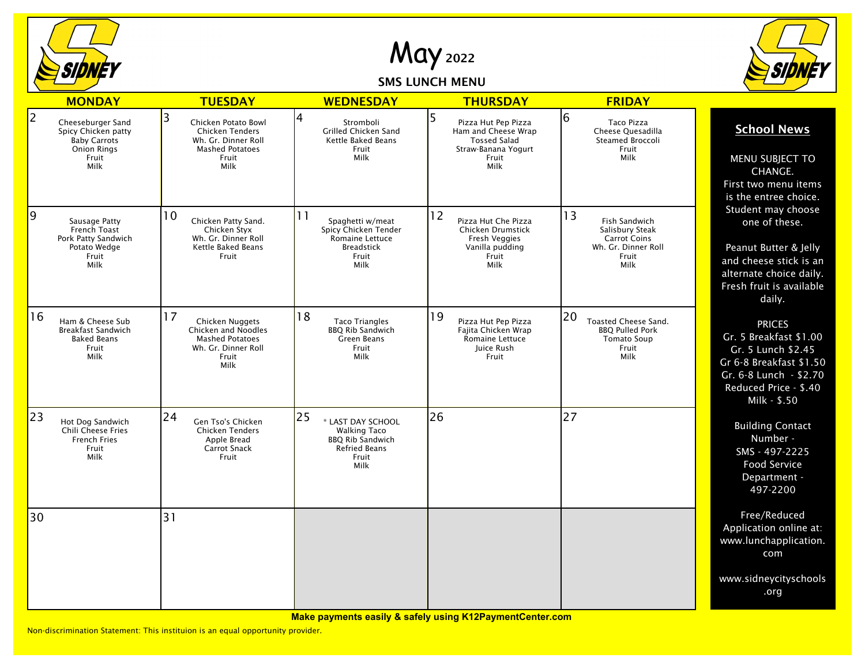

May <sup>2022</sup>

## SMS LUNCH MENU



|                | <b>MONDAY</b>                                                                                          | <b>TUESDAY</b>                                                                                                       | <b>WEDNESDAY</b>                                                                                                   | <b>THURSDAY</b>                                                                                                | <b>FRIDAY</b>                                                                                         |                                                                                                                                                             |
|----------------|--------------------------------------------------------------------------------------------------------|----------------------------------------------------------------------------------------------------------------------|--------------------------------------------------------------------------------------------------------------------|----------------------------------------------------------------------------------------------------------------|-------------------------------------------------------------------------------------------------------|-------------------------------------------------------------------------------------------------------------------------------------------------------------|
| $\overline{2}$ | Cheeseburger Sand<br>Spicy Chicken patty<br><b>Baby Carrots</b><br><b>Onion Rings</b><br>Fruit<br>Milk | 3<br>Chicken Potato Bowl<br><b>Chicken Tenders</b><br>Wh. Gr. Dinner Roll<br><b>Mashed Potatoes</b><br>Fruit<br>Milk | 4<br>Stromboli<br>Grilled Chicken Sand<br>Kettle Baked Beans<br>Fruit<br>Milk                                      | 5<br>Pizza Hut Pep Pizza<br>Ham and Cheese Wrap<br><b>Tossed Salad</b><br>Straw-Banana Yogurt<br>Fruit<br>Milk | 6<br><b>Taco Pizza</b><br>Cheese Quesadilla<br>Steamed Broccoli<br>Fruit<br>Milk                      | <b>School News</b><br>MENU SUBJECT TO<br>CHANGE.<br>First two menu items<br>is the entree choice.                                                           |
| 9              | Sausage Patty<br>French Toast<br>Pork Patty Sandwich<br>Potato Wedge<br>Fruit<br>Milk                  | 10<br>Chicken Patty Sand.<br>Chicken Styx<br>Wh. Gr. Dinner Roll<br>Kettle Baked Beans<br>Fruit                      | 11<br>Spaghetti w/meat<br>Spicy Chicken Tender<br>Romaine Lettuce<br><b>Breadstick</b><br>Fruit<br>Milk            | 12<br>Pizza Hut Che Pizza<br>Chicken Drumstick<br><b>Fresh Veggies</b><br>Vanilla pudding<br>Fruit<br>Milk     | 13<br>Fish Sandwich<br>Salisbury Steak<br><b>Carrot Coins</b><br>Wh. Gr. Dinner Roll<br>Fruit<br>Milk | Student may choose<br>one of these.<br>Peanut Butter & Jelly<br>and cheese stick is an<br>alternate choice daily.<br>Fresh fruit is available<br>daily.     |
| 16             | Ham & Cheese Sub<br><b>Breakfast Sandwich</b><br><b>Baked Beans</b><br>Fruit<br>Milk                   | 17<br>Chicken Nuggets<br>Chicken and Noodles<br><b>Mashed Potatoes</b><br>Wh. Gr. Dinner Roll<br>Fruit<br>Milk       | 18<br><b>Taco Triangles</b><br><b>BBQ Rib Sandwich</b><br>Green Beans<br>Fruit<br>Milk                             | 19<br>Pizza Hut Pep Pizza<br>Fajita Chicken Wrap<br>Romaine Lettuce<br>Juice Rush<br>Fruit                     | 20<br>Toasted Cheese Sand.<br><b>BBQ Pulled Pork</b><br><b>Tomato Soup</b><br>Fruit<br>Milk           | <b>PRICES</b><br>Gr. 5 Breakfast \$1.00<br>Gr. 5 Lunch \$2.45<br>Gr 6-8 Breakfast \$1.50<br>Gr. 6-8 Lunch - \$2.70<br>Reduced Price - \$.40<br>Milk - \$.50 |
| 23             | Hot Dog Sandwich<br><b>Chili Cheese Fries</b><br><b>French Fries</b><br>Fruit<br>Milk                  | 24<br>Gen Tso's Chicken<br>Chicken Tenders<br>Apple Bread<br><b>Carrot Snack</b><br>Fruit                            | 25<br>* LAST DAY SCHOOL<br><b>Walking Taco</b><br><b>BBQ Rib Sandwich</b><br><b>Refried Beans</b><br>Fruit<br>Milk | 26                                                                                                             | 27                                                                                                    | <b>Building Contact</b><br>Number -<br>SMS - 497-2225<br>Food Service<br>Department -<br>497-2200                                                           |
| 30             |                                                                                                        | 31                                                                                                                   |                                                                                                                    |                                                                                                                |                                                                                                       | Free/Reduced<br>Application online at:<br>www.lunchapplication.<br>com                                                                                      |
|                |                                                                                                        |                                                                                                                      |                                                                                                                    |                                                                                                                |                                                                                                       | www.sidneycityschools<br>.org                                                                                                                               |

**Make payments easily & safely using K12PaymentCenter.com**

Non-discrimination Statement: This instituion is an equal opportunity provider.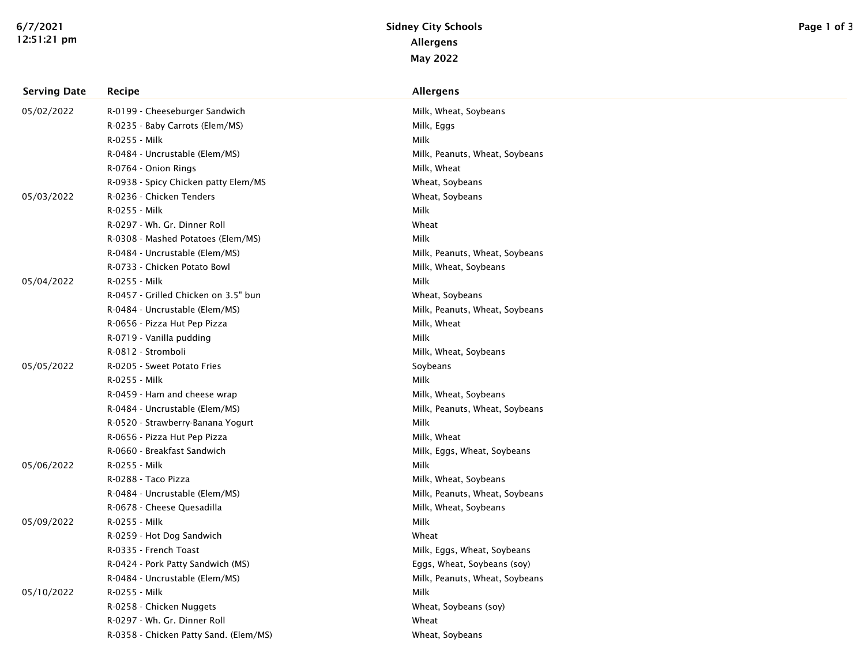| <b>Serving Date</b> | Recipe                                 | Allergens                      |
|---------------------|----------------------------------------|--------------------------------|
| 05/02/2022          | R-0199 - Cheeseburger Sandwich         | Milk, Wheat, Soybeans          |
|                     | R-0235 - Baby Carrots (Elem/MS)        | Milk, Eggs                     |
|                     | R-0255 - Milk                          | <b>Milk</b>                    |
|                     | R-0484 - Uncrustable (Elem/MS)         | Milk, Peanuts, Wheat, Soybeans |
|                     | R-0764 - Onion Rings                   | Milk, Wheat                    |
|                     | R-0938 - Spicy Chicken patty Elem/MS   | Wheat, Soybeans                |
| 05/03/2022          | R-0236 - Chicken Tenders               | Wheat, Soybeans                |
|                     | R-0255 - Milk                          | Milk                           |
|                     | R-0297 - Wh. Gr. Dinner Roll           | Wheat                          |
|                     | R-0308 - Mashed Potatoes (Elem/MS)     | Milk                           |
|                     | R-0484 - Uncrustable (Elem/MS)         | Milk, Peanuts, Wheat, Soybeans |
|                     | R-0733 - Chicken Potato Bowl           | Milk, Wheat, Soybeans          |
| 05/04/2022          | R-0255 - Milk                          | Milk                           |
|                     | R-0457 - Grilled Chicken on 3.5" bun   | Wheat, Soybeans                |
|                     | R-0484 - Uncrustable (Elem/MS)         | Milk, Peanuts, Wheat, Soybeans |
|                     | R-0656 - Pizza Hut Pep Pizza           | Milk, Wheat                    |
|                     | R-0719 - Vanilla pudding               | Milk                           |
|                     | R-0812 - Stromboli                     | Milk, Wheat, Soybeans          |
| 05/05/2022          | R-0205 - Sweet Potato Fries            | Soybeans                       |
|                     | R-0255 - Milk                          | Milk                           |
|                     | R-0459 - Ham and cheese wrap           | Milk, Wheat, Soybeans          |
|                     | R-0484 - Uncrustable (Elem/MS)         | Milk, Peanuts, Wheat, Soybeans |
|                     | R-0520 - Strawberry-Banana Yogurt      | Milk                           |
|                     | R-0656 - Pizza Hut Pep Pizza           | Milk, Wheat                    |
|                     | R-0660 - Breakfast Sandwich            | Milk, Eggs, Wheat, Soybeans    |
| 05/06/2022          | R-0255 - Milk                          | Milk                           |
|                     | R-0288 - Taco Pizza                    | Milk, Wheat, Soybeans          |
|                     | R-0484 - Uncrustable (Elem/MS)         | Milk, Peanuts, Wheat, Soybeans |
|                     | R-0678 - Cheese Quesadilla             | Milk, Wheat, Soybeans          |
| 05/09/2022          | R-0255 - Milk                          | Milk                           |
|                     | R-0259 - Hot Dog Sandwich              | Wheat                          |
|                     | R-0335 - French Toast                  | Milk, Eggs, Wheat, Soybeans    |
|                     | R-0424 - Pork Patty Sandwich (MS)      | Eggs, Wheat, Soybeans (soy)    |
|                     | R-0484 - Uncrustable (Elem/MS)         | Milk, Peanuts, Wheat, Soybeans |
| 05/10/2022          | R-0255 - Milk                          | Milk                           |
|                     | R-0258 - Chicken Nuggets               | Wheat, Soybeans (soy)          |
|                     | R-0297 - Wh. Gr. Dinner Roll           | Wheat                          |
|                     | R-0358 - Chicken Patty Sand. (Elem/MS) | Wheat, Soybeans                |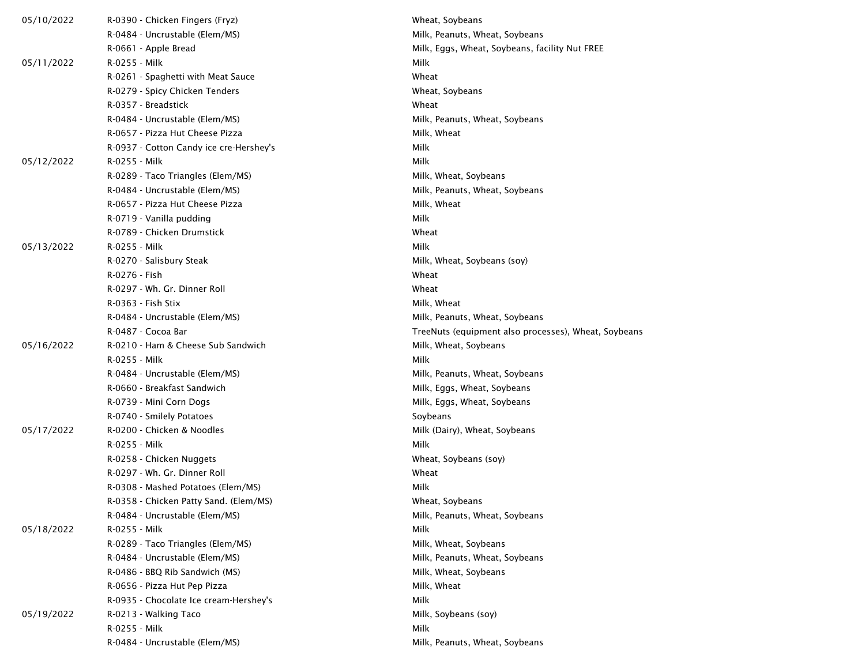| 05/10/2022 | R-0390 - Chicken Fingers (Fryz)         | Wheat, Soybeans                                      |  |
|------------|-----------------------------------------|------------------------------------------------------|--|
|            | R-0484 - Uncrustable (Elem/MS)          | Milk, Peanuts, Wheat, Soybeans                       |  |
|            | R-0661 - Apple Bread                    | Milk, Eggs, Wheat, Soybeans, facility Nut FREE       |  |
| 05/11/2022 | R-0255 - Milk                           | Milk                                                 |  |
|            | R-0261 - Spaghetti with Meat Sauce      | Wheat                                                |  |
|            | R-0279 - Spicy Chicken Tenders          | Wheat, Soybeans                                      |  |
|            | R-0357 - Breadstick                     | Wheat                                                |  |
|            | R-0484 - Uncrustable (Elem/MS)          | Milk, Peanuts, Wheat, Soybeans                       |  |
|            | R-0657 - Pizza Hut Cheese Pizza         | Milk, Wheat                                          |  |
|            | R-0937 - Cotton Candy ice cre-Hershey's | Milk                                                 |  |
| 05/12/2022 | R-0255 - Milk                           | Milk                                                 |  |
|            | R-0289 - Taco Triangles (Elem/MS)       | Milk, Wheat, Soybeans                                |  |
|            | R-0484 - Uncrustable (Elem/MS)          | Milk, Peanuts, Wheat, Soybeans                       |  |
|            | R-0657 - Pizza Hut Cheese Pizza         | Milk, Wheat                                          |  |
|            | R-0719 - Vanilla pudding                | Milk                                                 |  |
|            | R-0789 - Chicken Drumstick              | Wheat                                                |  |
| 05/13/2022 | R-0255 - Milk                           | Milk                                                 |  |
|            | R-0270 - Salisbury Steak                | Milk, Wheat, Soybeans (soy)                          |  |
|            | R-0276 - Fish                           | Wheat                                                |  |
|            | R-0297 - Wh. Gr. Dinner Roll            | Wheat                                                |  |
|            | R-0363 - Fish Stix                      | Milk, Wheat                                          |  |
|            | R-0484 - Uncrustable (Elem/MS)          | Milk, Peanuts, Wheat, Soybeans                       |  |
|            | R-0487 - Cocoa Bar                      | TreeNuts (equipment also processes), Wheat, Soybeans |  |
| 05/16/2022 | R-0210 - Ham & Cheese Sub Sandwich      | Milk, Wheat, Soybeans                                |  |
|            | R-0255 - Milk                           | Milk                                                 |  |
|            | R-0484 - Uncrustable (Elem/MS)          | Milk, Peanuts, Wheat, Soybeans                       |  |
|            | R-0660 - Breakfast Sandwich             | Milk, Eggs, Wheat, Soybeans                          |  |
|            | R-0739 - Mini Corn Dogs                 | Milk, Eggs, Wheat, Soybeans                          |  |
|            | R-0740 - Smilely Potatoes               | Soybeans                                             |  |
| 05/17/2022 | R-0200 - Chicken & Noodles              | Milk (Dairy), Wheat, Soybeans                        |  |
|            | R-0255 - Milk                           | Milk                                                 |  |
|            | R-0258 - Chicken Nuggets                | Wheat, Soybeans (soy)                                |  |
|            | R-0297 - Wh. Gr. Dinner Roll            | Wheat                                                |  |
|            | R-0308 - Mashed Potatoes (Elem/MS)      | Milk                                                 |  |
|            | R-0358 - Chicken Patty Sand. (Elem/MS)  | Wheat, Soybeans                                      |  |
|            | R-0484 - Uncrustable (Elem/MS)          | Milk, Peanuts, Wheat, Soybeans                       |  |
| 05/18/2022 | R-0255 - Milk                           | Milk                                                 |  |
|            | R-0289 - Taco Triangles (Elem/MS)       | Milk, Wheat, Soybeans                                |  |
|            | R-0484 - Uncrustable (Elem/MS)          | Milk, Peanuts, Wheat, Soybeans                       |  |
|            | R-0486 - BBQ Rib Sandwich (MS)          | Milk, Wheat, Soybeans                                |  |
|            | R-0656 - Pizza Hut Pep Pizza            | Milk, Wheat                                          |  |
|            | R-0935 - Chocolate Ice cream-Hershey's  | Milk                                                 |  |
| 05/19/2022 | R-0213 - Walking Taco                   | Milk, Soybeans (soy)                                 |  |
|            | R-0255 - Milk                           | Milk                                                 |  |
|            | R-0484 - Uncrustable (Elem/MS)          | Milk, Peanuts, Wheat, Soybeans                       |  |